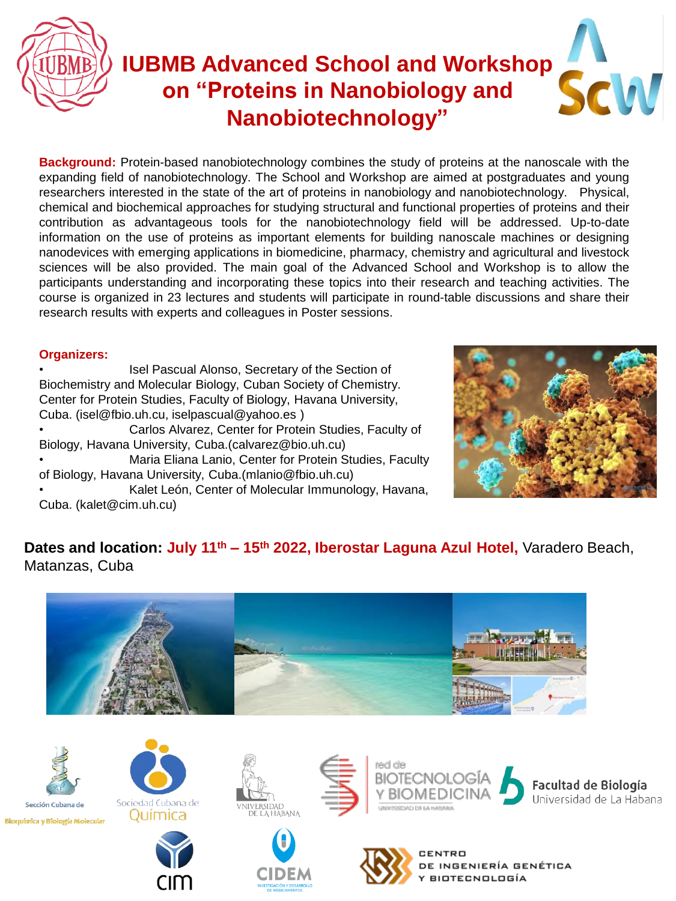

## **IUBMB Advanced School and Workshop on "Proteins in Nanobiology and Nanobiotechnology"**

**Background:** Protein-based nanobiotechnology combines the study of proteins at the nanoscale with the expanding field of nanobiotechnology. The School and Workshop are aimed at postgraduates and young researchers interested in the state of the art of proteins in nanobiology and nanobiotechnology. Physical, chemical and biochemical approaches for studying structural and functional properties of proteins and their contribution as advantageous tools for the nanobiotechnology field will be addressed. Up-to-date information on the use of proteins as important elements for building nanoscale machines or designing nanodevices with emerging applications in biomedicine, pharmacy, chemistry and agricultural and livestock sciences will be also provided. The main goal of the Advanced School and Workshop is to allow the participants understanding and incorporating these topics into their research and teaching activities. The course is organized in 23 lectures and students will participate in round-table discussions and share their research results with experts and colleagues in Poster sessions.

### **Organizers:**

Isel Pascual Alonso, Secretary of the Section of Biochemistry and Molecular Biology, Cuban Society of Chemistry. Center for Protein Studies, Faculty of Biology, Havana University, Cuba. (isel@fbio.uh.cu, iselpascual@yahoo.es ) • Carlos Alvarez, Center for Protein Studies, Faculty of Biology, Havana University, Cuba.(calvarez@bio.uh.cu) • Maria Eliana Lanio, Center for Protein Studies, Faculty of Biology, Havana University, Cuba.(mlanio@fbio.uh.cu) • Kalet León, Center of Molecular Immunology, Havana, Cuba. (kalet@cim.uh.cu)



### **Dates and location: July 11th – 15th 2022, Iberostar Laguna Azul Hotel,** Varadero Beach, Matanzas, Cuba





Sección Cubana de Bioquímica y Biología Molecular



Sociedad Cubana de